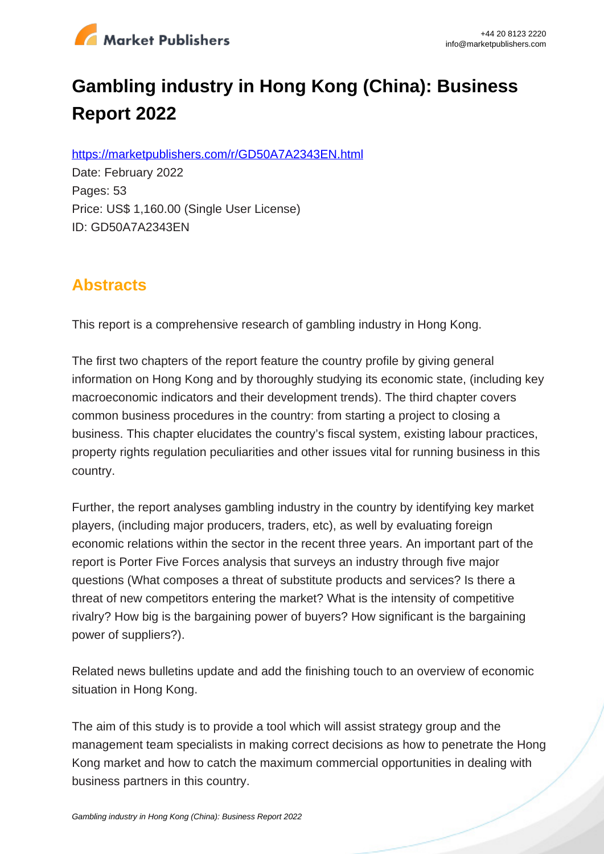

# **Gambling industry in Hong Kong (China): Business Report 2022**

https://marketpublishers.com/r/GD50A7A2343EN.html

Date: February 2022 Pages: 53 Price: US\$ 1,160.00 (Single User License) ID: GD50A7A2343EN

### **Abstracts**

This report is a comprehensive research of gambling industry in Hong Kong.

The first two chapters of the report feature the country profile by giving general information on Hong Kong and by thoroughly studying its economic state, (including key macroeconomic indicators and their development trends). The third chapter covers common business procedures in the country: from starting a project to closing a business. This chapter elucidates the country's fiscal system, existing labour practices, property rights regulation peculiarities and other issues vital for running business in this country.

Further, the report analyses gambling industry in the country by identifying key market players, (including major producers, traders, etc), as well by evaluating foreign economic relations within the sector in the recent three years. An important part of the report is Porter Five Forces analysis that surveys an industry through five major questions (What composes a threat of substitute products and services? Is there a threat of new competitors entering the market? What is the intensity of competitive rivalry? How big is the bargaining power of buyers? How significant is the bargaining power of suppliers?).

Related news bulletins update and add the finishing touch to an overview of economic situation in Hong Kong.

The aim of this study is to provide a tool which will assist strategy group and the management team specialists in making correct decisions as how to penetrate the Hong Kong market and how to catch the maximum commercial opportunities in dealing with business partners in this country.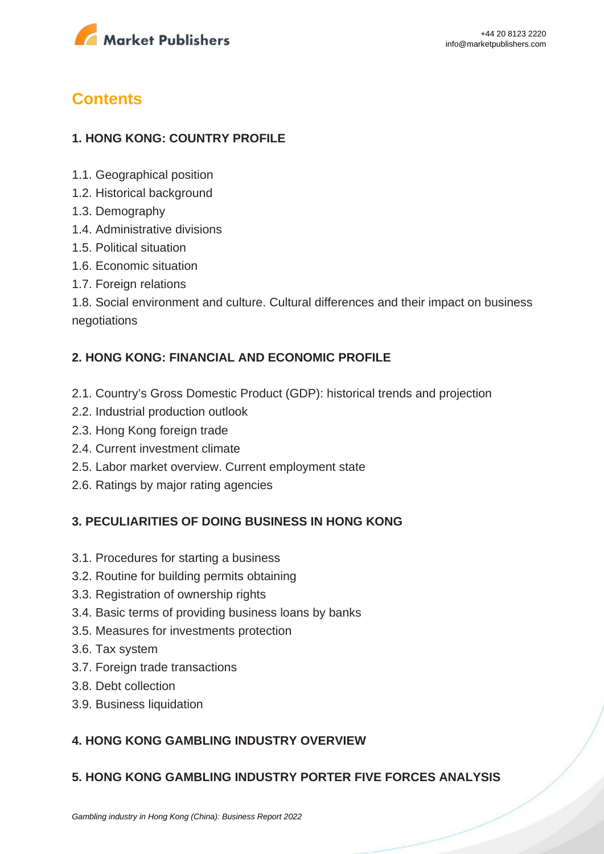

## **Contents**

#### **1. HONG KONG: COUNTRY PROFILE**

- 1.1. Geographical position
- 1.2. Historical background
- 1.3. Demography
- 1.4. Administrative divisions
- 1.5. Political situation
- 1.6. Economic situation
- 1.7. Foreign relations

1.8. Social environment and culture. Cultural differences and their impact on business negotiations

#### **2. HONG KONG: FINANCIAL AND ECONOMIC PROFILE**

- 2.1. Country's Gross Domestic Product (GDP): historical trends and projection
- 2.2. Industrial production outlook
- 2.3. Hong Kong foreign trade
- 2.4. Current investment climate
- 2.5. Labor market overview. Current employment state
- 2.6. Ratings by major rating agencies

#### **3. PECULIARITIES OF DOING BUSINESS IN HONG KONG**

- 3.1. Procedures for starting a business
- 3.2. Routine for building permits obtaining
- 3.3. Registration of ownership rights
- 3.4. Basic terms of providing business loans by banks
- 3.5. Measures for investments protection
- 3.6. Tax system
- 3.7. Foreign trade transactions
- 3.8. Debt collection
- 3.9. Business liquidation

#### **4. HONG KONG GAMBLING INDUSTRY OVERVIEW**

#### **5. HONG KONG GAMBLING INDUSTRY PORTER FIVE FORCES ANALYSIS**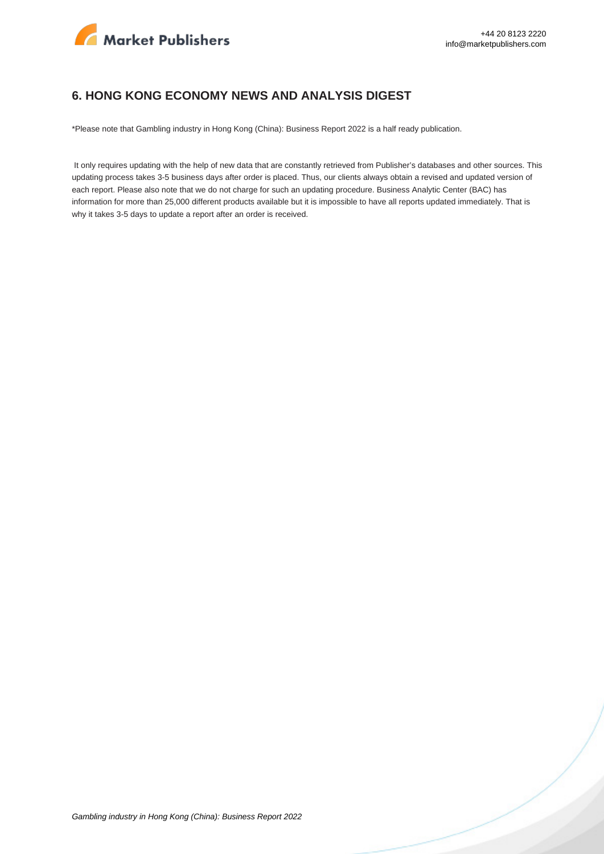

#### **6. HONG KONG ECONOMY NEWS AND ANALYSIS DIGEST**

\*Please note that Gambling industry in Hong Kong (China): Business Report 2022 is a half ready publication.

 It only requires updating with the help of new data that are constantly retrieved from Publisher's databases and other sources. This updating process takes 3-5 business days after order is placed. Thus, our clients always obtain a revised and updated version of each report. Please also note that we do not charge for such an updating procedure. Business Analytic Center (BAC) has information for more than 25,000 different products available but it is impossible to have all reports updated immediately. That is why it takes 3-5 days to update a report after an order is received.